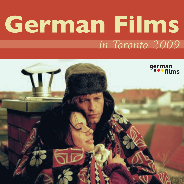# **German Films** *in Toronto 2009*

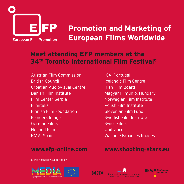

# **Promotion and Marketing of** European Films Worldwide

### Meet attending EFP members at the 34th Toronto International Film Festival<sup>®</sup>

**Austrian Film Commission British Council** Croatian Audiovisual Centre Danish Film Institute **Film Center Serbia** Filmitalia **Finnish Film Foundation Flanders Image German Films Holland Film** ICAA, Spain

### www.efp-online.com

EFP is financially supported by



### www.shooting-stars.eu







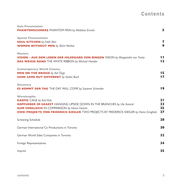### **Contents**

| <b>Gala Presentation</b>                                                                       | 5              |
|------------------------------------------------------------------------------------------------|----------------|
| <b>PHANTOMSCHMERZ</b> PHANTOM PAIN by Matthias Emcke                                           |                |
| <b>Special Presentations</b>                                                                   |                |
| <b>SOUL KITCHEN</b> by Fatih Akin                                                              | $\overline{ }$ |
| <b>WOMEN WITHOUT MEN</b> by Shirin Neshat                                                      | $\mathbf{Q}$   |
| <b>Masters</b>                                                                                 |                |
| <b>VISION - AUS DEM LEBEN DER HILDEGARD VON BINGEN</b> VISION by Margarethe von Trotta         | 11             |
| <b>DAS WEISSE BAND</b> THE WHITE RIBBON by Michael Haneke                                      | 13             |
| <b>Contemporary World Cinema</b>                                                               |                |
| <b>MEN ON THE BRIDGE</b> by Asli Özge                                                          | 15             |
| <b>SAME SAME BUT DIFFERENT</b> by Detlev Buck                                                  | 17             |
| <b>Discovery</b>                                                                               |                |
| <b>ES KOMMT DER TAG</b> THE DAY WILL COME by Susanne Schneider                                 | 19             |
| Wavelengths                                                                                    |                |
| <b>KAEFIG</b> CAGE by Karl Kels                                                                | 21             |
| <b>KOPFUEBER IM GEAEST HANGING UPSIDE DOWN IN THE BRANCHES by Ute Aurand</b>                   | 23             |
| <b>ZUM VERGLEICH IN COMPARISON by Harun Farocki</b>                                            | 25             |
| <b>ZWEI PROJEKTE VON FRIEDRICH KIESLER TWO PROJECTS BY FREDERICK KIESLER by Heinz Emigholz</b> | 27             |
| Screening Schedule                                                                             | 28             |
| German-International Co-Productions in Toronto                                                 | 30             |
| German World Sales Companies in Toronto                                                        | 32             |
| Foreign Representatives                                                                        | 34             |
| Imprint                                                                                        | 35             |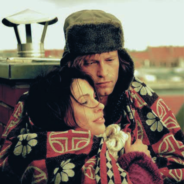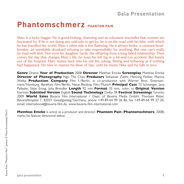### **Gala Presentation**

## **Phantomschmerz PHANTOM PAIN**

Marc is a lucky beggar. He is good-looking, charming and an educated storyteller that women are fascinated by. If he is not doing any odd jobs to get by, he is on the road with his bike, with which he has travelled the world. Marc's other side is less flattering. He is always broke, a constant heartbreaker, an unreliable drunkard refusing to take responsibility for anything. But one can't really be mad with him. Not even his daughter Sarah, the offspring from a long failed relationship. Then comes the day that changes Marc's life, he loses his left leg in a hit-and-run accident. But barely out of the hospital, Marc rushes back into his old life, joking, flirting and behaving as if nothing had happened. He tries to repress his blow of fate, until he meets Nika and he falls in love.

**Genre** Drama **Year of Production** 2008 **Director** Matthias Emcke **Screenplay** Matthias Emcke **Director of Photography** Ngo The Chau **Producers** Sebastian Zuehr, Henning Ferber, Marcus Welke **Production Company** Film 1/Berlin, in co-production with Warner Bros. Entertainment/Hamburg, Barefoot Film/Berlin, Neue Bioskop Film/Munich **Principal Cast** Til Schweiger, Jana Pallaske, Stipe Erceg, Julia Brendler **Length** 92 min **Format** 35 mm, color, cs **Original Version** German **Subtitled Version** English **Sound Technology** Dolby SR **Festival Screenings** Toronto 2009 **World Sales** Bavaria Film International / Dept. of Bavaria Media GmbH, Thorsten Ritter, Bavariafilmplatz 7, 82031 Geiselgasteig/Germany, phone +49-89-64 99 26 86, fax +49-89-64 99 37 20, email: international@bavaria-film.de, www.bavaria-film-international.com

**Matthias Emcke** is active as a producer and director. **Phantom Pain** (**Phantomschmerz**, 2008) marks his feature directorial debut.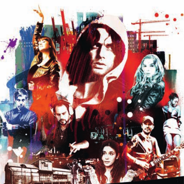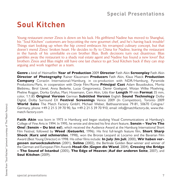# **Soul Kitchen**

Young restaurant owner Zinos is down on his luck. His girlfriend Nadine has moved to Shanghai, his "Soul Kitchen" customers are boycotting the new gourmet chef, and he's having back trouble! Things start looking up when the hip crowd embraces his revamped culinary concept, but that doesn't mend Zinos' broken heart. He decides to fly to China for Nadine, leaving the restaurant in the hands of his unreliable ex-con brother Illias. Both decisions turn out disastrous: Illias gambles away the restaurant to a shady real estate agent and Nadine has found a new lover! But brothers Zinos and Illias might still have one last chance to get Soul Kitchen back if they can stop arguing and work together as a team.

**Genre** a kind of Heimatfilm **Year of Production** 2009 **Director** Fatih Akin **Screenplay** Fatih Akin **Director of Photography** Rainer Klausmann **Producers** Fatih Akin, Klaus Maeck **Production Company** Corazón International/Hamburg, in co-production with NDR/Hamburg, Pyramide Productions/Paris, in cooperation with Dorje Film/Rome **Principal Cast** Adam Bousdoukos, Moritz Bleibtreu, Birol Uenel, Anna Bederke, Lucas Gregorowicz, Demir Goekgoel, Wotan Wilke Moehring, Pheline Roggan, Dorka Gryllus, Marc Hosemann, Cem Akin, Udo Kier **Length** 99 min **Format** 35 mm, color, 1:1.85 **Original Version** German **Subtitled Version** English **Sound Technology** Dolby Digital, Dolby Surround EX **Festival Screenings** Venice 2009 (In Competition), Toronto 2009 **World Sales** The Match Factory GmbH, Michael Weber, Balthasarstrasse 79-81, 50670 Cologne/ Germany, phone +49-2 21-5 39 70 90, fax +49-2 21-5 39 70 910, email: info@matchfactory.de, www.thematch-factory.com

**Fatih Akin** was born in 1973 in Hamburg and began studying Visual Communications at Hamburg's College of Fine Arts in 1994. In 1995, he wrote and directed his first short feature, **Sensin – You're The One! (Sensin - Du bist es!**), which received the Audience Award at the Hamburg International Short Film Festival, followed by **Weed** (**Getuerkt**, 1996). His first full-length feature film, **Short Sharp Shock** (**Kurz und schmerzlos**, 1998), won the Bronze Leopard at Locarno and the Bavarian Film Award (Best Young Director) in 1998. His other films include: **In July** (**Im Juli**, 2000), **Wir haben vergessen zurueckzukehren** (2001), **Solino** (2002), the Berlinale Golden Bear-winner and winner of the German and European Film Awards **Head-On** (**Gegen die Wand**, 2004), **Crossing the Bridge – The Sound of Istanbul** (2005), **The Edge of Heaven** (**Auf der anderen Seite**, 2007), and **Soul Kitchen** (2009).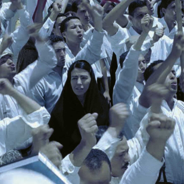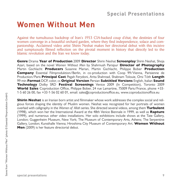# **Women Without Men**

Against the tumultuous backdrop of Iran's 1953 CIA-backed coup d'état, the destinies of four women converge in a beautiful orchard garden, where they find independence, solace and companionship. Acclaimed video artist Shirin Neshat makes her directorial debut with this incisive and sumptuously filmed reflection on the pivotal moment in history that directly led to the Islamic revolution and the Iran we know today.

**Genre** Drama **Year of Production** 2009 **Director** Shirin Neshat **Screenplay** Shirin Neshat, Shoja Azari, based on the novel *Women Without Men* by Shahrnush Parsipur **Director of Photography** Martin Gschlacht **Producers** Susanne Marian, Martin Gschlacht, Philippe Bober **Production Company** Essential Filmproduktion/Berlin, in co-production with Coop 99/Vienna, Parisienne de Production/Paris **Principal Cast** Pegah Ferydoni, Arita Shahrzad, Shabnam Tolouie, Orsi Tóth **Length** 99 min **Format** DCP, color, cs **Original Version** Persian **Subtitled Versions** English, Italian **Sound Technology** Dolby SRD **Festival Screenings** Venice 2009 (In Competition), Toronto 2009 **World Sales** Coproduction Office, Philippe Bober, 24 rue Lamartine, 75009 Paris/France, phone +33- 1-5 60 26 00, fax +33-1-56 02 60 01, email: sales@coproductionoffice.eu, www.coproductionoffice.eu

**Shirin Neshat** is an Iranian born artist and filmmaker whose work addresses the complex social and religious forces shaping the identity of Muslim women. Neshat was recognized for her portraits of women overlaid with calligraphy in the *Women of Allah* series. She directed several videos, among them **Turbulent** (1998), which won her the International Award at the 48th Venice Biennale in 1999, as well as **Rapture** (1999), and numerous other video installations. Her solo exhibitions include shows at the Tate Gallery, London; Guggenheim Museum, New York; The Museum of Contemporary Arts, Athens; The Serpentine Gallery, London; Kunsthalle Vienna; Hiroshima City Museum of Contemporary Art. **Women Without Men** (2009) is her feature directorial debut.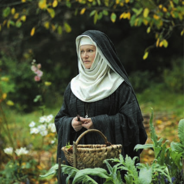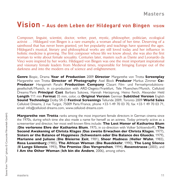# $$

Composer, linguist, scientist, doctor, writer, poet, mystic, philosopher, politician, ecological activist … Hildegard von Bingen is a rare example, a woman ahead of her time. Deserving of a sainthood that has never been granted, yet her popularity and teachings have spanned the ages. Hildegard's musical, literary and philosophical works are still loved today and her influence in holistic medicine is growing. The first composer whose life we know about, she was also the first woman to write about female sexuality. Centuries later, masters such as Dante and Leonardo da Vinci were inspired by her works. Hildegard von Bingen was one the most important inspirational and visionary female leaders from Medieval times, responsible for bringing Europe out of the darkness and into the modern era of science and enlightenment.

**Genre** Biopic, Drama **Year of Production** 2009 **Director** Margarethe von Trotta **Screenplay** Margarethe von Trotta **Director of Photography** Axel Block **Producer** Markus Zimmer **Co-Producer** Hengameh Panahi **Production Company** Clasart Film- und Fernsehproduktionsgesellschaft/Munich, in co-production with ARD-Degeto/Frankfurt, Tele Muenchen/Munich, Celluloid Dreams/Paris **Principal Cast** Barbara Sukowa, Hannah Herzsprung, Heino Ferch, Alexander Held **Length** 111 min **Format** 35 mm, color, cs **Original Version** German **Subtitled Version** English **Sound Technology** Dolby SR-D **Festival Screenings** Telluride 2009, Toronto 2009 **World Sales** Celluloid Dreams, 2 rue Turgot, 75009 Paris/France, phone +33-1-49 70 03 70, fax +33-1 49 70 03 71, email: info@celluloid-dreams.com, www.celluloid-dreams.com

**Margarethe von Trotta** ranks among the most important female directors in German cinema since the 1970s, during which time she also made a name for herself as an actress. Today primarily active as a screenwriter and director, her most well-known films include: **The Lost Honor of Katharina Blum** (**Die verlorene Ehre der Katharina Blum**, 1975, in co-direction with Volker Schloendorff), **The Second Awakening of Christa Klages** (**Das zweite Erwachen der Christa Klages**, 1977), **Sisters or the Balance of Happiness** (**Schwestern oder Die Balance des Gluecks**, 1979), **Marianne and Juliane** (**Die Bleierne Zeit**, 1981), **Sheer Madness** (**Heller Wahn**, 1983), **Rosa Luxemburg** (1985), **The African Woman** (**Die Rueckkehr**, 1990), **The Long Silence** (**Il Lungo Silenzio**, 1993), **The Promise** (**Das Versprechen**, 1994), **Rosenstrasse** (2003), and **I Am the Other Woman** (**Ich bin die Andere**, 2006), among others.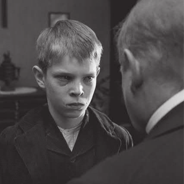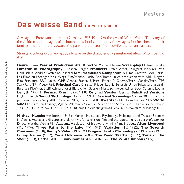# **Das weisse Band THE WHITE RIBBON**

A village in Protestant northern Germany. 1913-1914. On the eve of World War I. The story of the children and teenagers of a church and school choir run by the village schoolteacher, and their families: the baron, the steward, the pastor, the doctor, the midwife, the tenant farmers.

Strange accidents occur and gradually take on the character of a punishment ritual. Who is behind it all?

**Genre** Drama **Year of Production** 2009 **Director** Michael Haneke **Screenplay** Michael Haneke **Director of Photography** Christian Berger **Producers** Stefan Arndt, Margaret Menegoz, Veit Heiduschka, Andrea Occhipinti, Michael Katz **Production Companies** X Filme Creative Pool/Berlin, Les Films du Losange/Paris, Wega Film/Vienna, Lucky Red/Rome, in co-production with ARD Degeto Film/Frankfurt, BR/Munich, ORF/Vienna, France 3/Paris, France 3 Cinema/Paris, Canal+/Paris, TPS Star/Paris, TF1 Video/Paris **Principal Cast** Christian Friedel, Leonie Benesch, Ulrich Tukur, Ursina Lardi, Burghart Klaußner, Steffi Kühnert, Josef Bierbichler, Gabriela Maria Schmeide, Rainer Bock, Susanne Lothar **Length** 145 min **Format** 35 mm, b&w, 1:1.85 **Original Version** German **Subtitled Versions** English, French **Sound Technology** Dolby SRD/DTS **Festival Screenings** Cannes 2009 (In Competition), Karlovy Vary 2009, Moscow 2009, Toronto 2009 **Awards** Golden Palm Cannes 2009 **World Sales** Les Films du Losange, Agathe Valentin, 22 avenue Pierre 1er de Serbie, 75116 Paris/France, phone +33-1-44 43 87 24, fax +33-1-49 52 06 40, email: a.valentin@filmsdulosange.fr, www.filmsdulosange.fr

**Michael Haneke** was born in 1942 in Munich. He studied Psychology, Philosophy and Theater Sciences in Vienna. Active as a director and playwright for television, film and the opera, he is also a professor for Directing at the Vienna Film Academy. A selection of his award-winning films includes: **After Liverpool** (TV, 1974), **Three Paths to the Lake** (TV, 1976), **Variation** (TV, 1982), **The Seventh Continent** (1988), **Benny's Video** (1992), **71 Fragments of a Chronology of Chance** (1995), **Funny Games** (1997), **Code Unknown** (2000), **The Piano Teacher** (2001), **Time of the Wolf** (2003), **Caché** (2005), **Funny Games U.S.** (2007), and **The White Ribbon** (2009).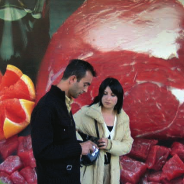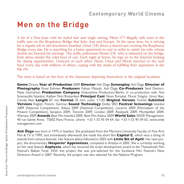# **Men on the Bridge**

A bit of a Don Juan with his styled hair and single earring, Fikret (17) illegally sells roses in the traffic jam on the Bosphorus Bridge that links Asia and Europe. At the same time, he is striving for a regular job in old downtown Istanbul. Umut (28) drives a shared taxi crossing the Bosphorus Bridge every day. He is searching for a better apartment to rent in order to satisfy his wife, whose desires are beyond his earnings. The traffic policeman Murat (24), who is stationed on the bridge, feels alone amidst the solid lines of cars. Each night at home, he logs on to the Internet looking for dating opportunities. Unaware of each other, Fikret, Umut and Murat intersect in the rush hour every day with millions of others, coping with the straits of fulfilling their aspirations in the big city.

The story is based on the lives of the characters depicting themselves in the original locations.

**Genre** Drama **Year of Production** 2009 **Director** Asli Özge **Screenplay** Asli Özge **Director of Photography** Emre Erkmen **Producers** Fabian Massah, Asli Özge **Co-Producers** Sevil Demirci, Mete Gümürhan **Production Company** Endorphine Production/Berlin, in co-production with Yeni Sinemacilik/Istanbul, Kaliber Film/Rotterdam **Principal Cast** Fikret Portakal, Murat Tokgöz, Umut Ilker, Cemile Ilker **Length** 87 min **Format** 35 mm, color, 1:1.85 **Original Version** Turkish **Subtitled Versions** English, French, German **Sound Technology** Dolby SRD **Festival Screenings** Istanbul 2009 (National Competition), Adana 2009 (National Competition), Locarno 2009 (Filmmakers of the Present Competition), Sarajevo 2009, Toronto 2009, London 2009, Reykjavik 2009, Montpellier 2009, Warsaw 2009 **Awards** Best Film Istanbul 2009, Best Film Adana 2009 **World Sales** WIDE Management, 40 rue Sainte-Anne, 75002 Paris/France, phone +33-1-53 95 04 64, fax +33-1-53 95 04 65, www.wide management.com

**Asli Özge** was born in 1975 in Istanbul. She graduated from the Marmara University Faculty of Fine Arts Film & TV in 1999, and immediately afterwards she made the short film **Capital C**, which won a string of awards from various festivals. Her feature debut followed in 2003 with **Little Bit of April**. Her next project, the documentary **Hesperos' Apprentices**, competed in Antalya in 2005. She is currently working on her next feature **Asphyxia**, which has received the script development award at the Thessaloniki Film Festival's Balkan Fund. With this project she was pre-selected for the Sundance Film Festival's New Directors Award in 2007. Recently, the project was also selected for the Nipkow Program.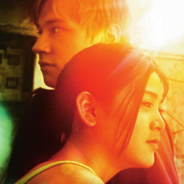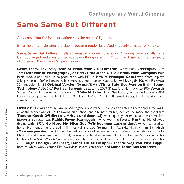# **Same Same But Different**

A journey from the heart of darkness to the heart of lightness

It was just one night after the club. It became tender love. And suddenly a matter of survival.

Same Same But Different tells an unusual, modern love story. A young German falls for a Cambodian girl and stays by her side, even though she is HIV positive. Based on the true story of Benjamin Pruefer and Sreykeo Sorvan.

**Genre** Drama, Love Story **Year of Production** 2009 **Director** Detlev Buck **Screenplay** Ruth Toma **Director of Photography** Jana Marsik **Producer** Claus Boje **Production Company** Boje Buck Produktion/Berlin, in co-production with NDR/Hamburg **Principal Cast** David Kross, Apinya Sakuljaroensuk, Stefan Konarske, Jens Harzer, Anne Mueller, Wanda Badwal **Length** 106 min **Format** 35 mm, color, 1:1.85 **Original Version** German/English/Khmer **Subtitled Version** English **Sound Technology** Dolby SRD **Festival Screenings** Locarno 2009 (Piazza Grande), Toronto 2009 **Awards** Variety Piazza Grande Award Locarno 2009 **World Sales** Films Distribution, 34 rue du Louvre, 75001 Paris/France, phone +33-1-53 10 33 99, fax +33-1-53 10 33 98, email: info@filmsdistribution.com, www.filmsdistribution.com

**Detlev Buck** was born in 1962 in Bad Segeberg and made his fame as an actor, director and screenwriter at the tender age of 22. Following high school and alternate military service, he made the short film **Time to Knock Off** (**Erst die Arbeit und dann …?**), which quickly became a cult classic. His first feature as a director was **Rabbit Fever** (**Karniggels**), which won the Bavarian Film Prize. He followed this up with 1993's **No More Mr. Nice Guy** (**Wir koennen auch anders**), which garnered an honorable mention at the Berlin Film Festival and two German Film Awards. His next film, **Jailbirds** (**Maennerpension**), which he directed and starred in, made stars of the two female leads, Heike Makatsch and Marie Baeumer. In 2004, he was awarded the German Film Award as Best Supporting Actor for his role in *Berlin Blues* (*Herr Lehmann*), directed by Leander Haussmann. His other works as a director are: **Tough Enough** (**Knallhart**), **Hands Off Mississippi** (**Haende weg von Mississippi**), both of which won German Film Awards in several categories, and **Same Same But Different**.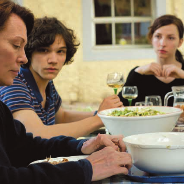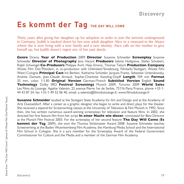# **Es kommt der Tag THE DAY WILL COME**

Thirty years after giving her daughter up for adoption in order to join the terrorist underground in Germany, Judith is tracked down by her now adult daughter Alice to a vineyard in the Alsace where she is now living with a new family and a new identity. Alice calls on her mother to give herself up, but Judith doesn't regret any of her past deeds.

**Genre** Drama **Year of Production** 2009 **Director** Susanne Schneider **Screenplay** Susanne Schneider **Director of Photography** Jens Harant **Producers** Sabine Holtgreve, Stefan Schubert, Ralph Schwingel **Co-Producers** Philippe Avril, Hejo Emons, Thomas Tielsch **Production Company** Wüste Film Ost/Potsdam, in co-production with Unlimited/Strasbourg, Filmtank/Stuttgart, Wüste Film West/Cologne **Principal Cast** Iris Berben, Katharina Schüttler, Jacques Frantz, Sebastian Urzendowsky, Andrée Damant, Jean-Claude Arnaud, Sophie-Charlotte Kaissling-Dopff **Length** 104 min **Format** 35 mm, color, 1:1.85 **Original Version** German/French **Subtitled Version** English **Sound Technology** Dolby SRD **Festival Screenings** Munich 2009, Toronto 2009 **World Sales** Les Films du Losange, Agathe Valentin, 22 avenue Pierre 1er de Serbie, 75116 Paris/France, phone +33-1- 44 43 87 24, fax +33-1-49 52 06 40, email: a.valentin@filmsdulosange.fr, www.filmsdulosange.fr

**Susanne Schneider** studied at the Stuttgart State Academy for Art and Design and at the Academy of Arts Duesseldorf. After a career as a graphic designer she began to write and direct plays for the theater. She received a stipend for Screenwriting classes at the University of Television & Film Munich in 1992. Since then, she has written numerous award-winning screenplays for television and feature films. In 2002, she directed her first feature film from her script **In einer Nacht wie dieser**, nominated for Best Director at the Munich Film Festival 2003. For the screenplay of her second feature **The Day Will Come** (**Es kommt der Tag**, 2009), she won the Thomas Strittmatter Award 2008. Susanne Schneider teaches Screenwriting at the Baden-Wuerttemberg Film Academy, the Hamburg Media School and the International Film School in Cologne. She is a jury member for the Screenplay Award of the Federal Government Commissioner for Culture and the Media and a member of the German Film Academy.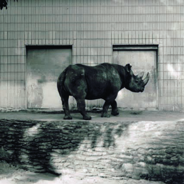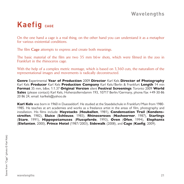# **Kaefig** CAGE

On the one hand a cage is a real thing, on the other hand you can understand it as a metaphor for various existential conditions.

The film Cage attempts to express and create both meanings.

The basic material of the film are two 35 mm b&w shots, which were filmed in the zoo in Frankfurt in the rhinoceros cage.

With the help of a complex metric montage, which is based on 3,360 cuts, the naturalism of the representational images and movements is radically deconstructed.

**Genre** Experimental **Year of Production** 2009 **Director** Karl Kels **Director of Photography** Karl Kels **Producer** Karl Kels **Production Company** Karl Kels/Berlin & Frankfurt **Length** 14 min **Format** 35 mm, b&w, 1:1.37 **Original Version** silent **Festival Screenings** Toronto 2009 **World Sales** (please contact) Karl Kels, Hohenzollerndamm 193, 10717 Berlin/Germany, phone/fax +49-30-86 20 86 24, email: karlkels@yahoo.de

**Karl Kels** was born in 1960 in Duesseldorf. He studied at the Staedelschule in Frankfurt/Main from 1980- 1985. He teaches at art academies and works as a freelance artist in the areas of film, photography and installation. His films include: **Haystacks** (**Heuballen**, 1981), **Condensation Trail** (**Kondensstreifen**, 1982), **Sluice** (**Schleuse**, 1983), **Rhinoceroses** (**Nashoerner**, 1987), **Starlings** (**Stare**, 1991), **Hippopotamuses** (**Flusspferde**, 1993), **Oven** (**Ofen**, 1994), **Elephants** (**Elefanten**, 2000), **Prince Hotel** (1987/2003), **Sidewalk** (2008), and **Cage** (**Kaefig**, 2009).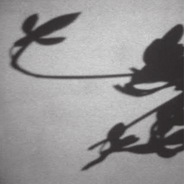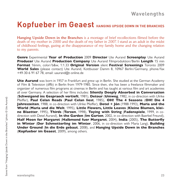# **Kopfueber im Geaest HANGING UPSIDE DOWN IN THE BRANCHES**

Hanging Upside Down in the Branches is a montage of brief recollections filmed before the death of my mother in 2000 and the death of my father in 2007. I stand as an adult in the midst of childhood feelings, gazing at the disappearance of my family home and the changing relation to my parents.

**Genre** Experimental **Year of Production** 2009 **Director** Ute Aurand **Screenplay** Ute Aurand **Producer** Ute Aurand **Production Company** Ute Aurand Filmproduktion/Berlin **Length** 15 min **Format** 16mm, color/b&w, 1:1.33 **Original Version** silent **Festival Screenings** Toronto 2009 **World Sales** (please contact) Ute Aurand, Kottbusser Damm 8, 10967 Berlin/Germany, phone/fax +49-30-6 91 67 78, email: uaurand@t-online.de

**Ute Aurand** was born in 1957 in Frankfurt and grew up in Berlin. She studied at the German Academy of Film & Television (dffb) in Berlin from 1979-1985. Since then, she has been a freelance filmmaker and organizer of numerous film programs at cinemas in Berlin and has taught at various film and art academies all over Germany. A selection of her films includes: **Silently Deeply Absorbed in Conversation** (**Schweigend ins Gespraech vertieft**, 1981), **Detour** (**Umweg**, 1982, in co-direction with Ulrike Pfeiffer), **Paul Celan Reads** (**Paul Celan liest**, 1985), **OH! The 4 Seasons** (**OH! Die 4 Jahreszeiten**, 1988, in co-direction with Ulrike Pfeiffer), **Detel + Jón** (1988-1993), **Maria and the World** (**Maria und die Welt**, 1995), **Little Flowers, Little Leaves** (**Kleine Blumen, kleine Blaetter**, 1995), **Thirds** (**Terzen**, 1998), **Toying with String** (**Fadenspiele**, 1999, in codirection with Detel Aurand), **In the Garden** (**Im Garten**, 2002, in co-direction with Baerbel Freund), **Half Moon for Margaret** (**Halbmond fuer Margaret**, 2004), **India** (2005), **The Butterfly in Winter** (**Der Schmetterling im Winter**, 2006, in co-direction with Maria Lang), **Building Under Ground** (**In die Erde gebaut**, 2008), and **Hanging Upside Down in the Branches** (**Kopfueber im Geaest**, 2009), among others.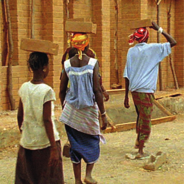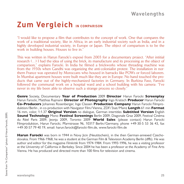# **Zum Vergleich IN COMPARISON**

"I would like to propose a film that contributes to the concept of work. One that compares the work of a traditional society, like in Africa, in an early industrial society such as India, and in a highly developed industrial society, in Europe or Japan. The object of comparison is to be the work in building houses. Houses to live in."

This was written in Harun Farocki's exposé from 2003 for a documentary project. "After intitial research (…) I had the idea of using the brick, its manufacture and its processing as the object of comparison," explains Farocki. In India he filmed a brickworks whose threading machine was from the 1930s when Gandhi was organizing the anti-colonialist protest. The installation in northern France was operated by Moroccans who housed in barracks like POWs or forced laborers. In Mumbai apartment houses were built much like they are in Europe. No hand touched the products that came out of the highly-mechanized factories in Germany. In Burkina Faso, Farocki followed the communal work on a hospital ward and a school building with his camera: "I've never in my life been able to observe such a strange process so closely."

**Genre** Society, Documentary **Year of Production** 2009 **Director** Harun Farocki **Screenplay** Harun Farocki, Matthias Rajmann **Director of Photography** Ingo Kratisch **Producer** Harun Farocki **Co-Producers** Johannes Rosenberger, Inge Classen **Production Company** Harun Farocki Filmproduktion/Berlin , in co-production with Navigator Film/Vienna, ZDF/3sat/Mainz **Length** 61 min **Format** 16 mm, color, 1:1.37 **Original Version** no dialogue, German intertitles **Subtitled Version** English **Sound Technology** Mono **Festival Screenings** Berlin 2009, Diagonale Graz 2009, Festival Cinéma du Réel Paris 2009, Jeonju 2009, Toronto 2009 **World Sales** (please contact) Harun Farocki Filmproduktion, Harun Farocki, Pfarrstrasse 96, 10317 Berlin/Germany, phone +49-30-5 53 36 43, fax +49-30-57 79 40 19, email: harun.farocki@farocki-film.de, www.farocki-film.de

**Harun Farocki** was born in 1944 in Novy Jicin (Neutitschein), in the then German-annexed Czechoslovakia. From 1966-1968, he was a student at the German Film & Television Academy Berlin (dffb). He was author and editor for the magazine *Filmkritik* from 1974-1984. From 1993-1996, he was a visiting professor at the University of California in Berkeley. Since 2004 he has been a professor at the Academy of Fine Arts Vienna. He has produced and directed more than 100 films for television and cinema.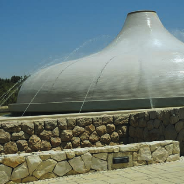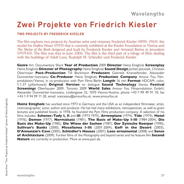# **Zwei Projekte von Friedrich Kiesler**

#### **TWO PROJECTS BY FREDERICK KIESLER**

The film explores two projects by Austrian artist und visionary Frederick Kiesler (1890–1965): the model for *Endless House* (1959) that is currently exhibited at the Kiesler Foundation in Vienna and *The Shrine of the Book* designed and built by Frederick Kiesler and Armand Bartos in Jerusalem (1959-65). The film was shot in June 2006. The film is the third part of a trilogy of films dealing with the buildings of Adolf Loos, Rudolph M. Schindler und Frederick Kiesler.

**Genre** Art, Documentary Short **Year of Production** 2009 **Director** Heinz Emigholz **Screenplay** Heinz Emigholz **Director of Photography** Heinz Emigholz **Sound Design** Jochen Jezussek, Christian Obermaier **Post-Production** Till Beckmann **Producers** Gabriele Kranzelbinder, Alexander Dumreicher-Ivanceanu **Co-Producer** Heinz Emigholz **Production Company** Amour Fou Filmproduktion/Vienna, in co-production with Pym Films/Berlin **Length** 16 min **Format** HDCAM, color, 1:1.37 (pillarboxed) **Original Version** no dialogue **Sound Technology** Stereo **Festival Screenings** Oberhausen 2009, Toronto 2009 **World Sales** Amour Fou Filmproduktion GmbH, Alexander Dumreicher-Ivanceanu, Lindengasse 32, 1070 Vienna/Austria, phone +43-1-99 49 91 10, fax +43-1-9 94 99 11 20, email: ivanceanu@amourfou.at, www.amourfou.at

**Heinz Emigholz** has worked since 1973 in Germany and the USA as an independent filmmaker, artist, cinematographer, actor, author and producer. He has had many exhibitions, retrospectives, as well as given lectures and published books. In 1978, he founded the Pym Films production company. A selection of his films includes: **Schenec-Tady I, II** and **III** (1973-1975), **Arrowplane** (1974), **Tide** (1974), **Hotel** (1976), **Demon** (1977), **Normalsatz** (1981), **The Basis of Make-Up I-III** (1984-2004), **Die Basis des Make-Up** (1985), **Die Wiese der Sachen** (1987), **Der Zynische Koerper** (1990), **Sullivan's Banks** (2000), **Miscellanea I-III** (2001-2004), **Goff in the Desert** (2003), **D'Annunzio's Cave** (2005), **Schindler's Houses** (2007), **Loos ornamental** (2008) and **Sense of Architecture** (2009). Further films of the *Photography and beyond* series and his feature film **Second Nature** are currently in production. More at www.pym.de.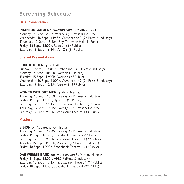### **Screening Schedule**

#### **Gala Presentation**

#### **PHANTOMSCHMERZ** *PHANTOM PAIN by* Matthias Emcke

Monday, 14 Sept., 9:30h, Varsity 3 (1<sup>st</sup> Press & Industry) Wednesday, 16 Sept., 14:45h, Cumberland 3 (2nd Press & Industry) Thursday, 17 Sept., 18:30h, Roy Thomson Hall (1<sup>st</sup> Public) Friday, 18 Sept., 15:00h, Ryerson (2nd Public) Saturday, 19 Sept., 16:30h, AMC 6 (3rd Public)

#### **Special Presentations**

#### **SOUL KITCHEN** *by* Fatih Akin

Sunday, 13 Sept., 10:00h, Cumberland 2 (1<sup>st</sup> Press & Industry) Monday, 14 Sept., 18:00h, Ryerson (1<sup>st</sup> Public) Tuesday, 15 Sept., 12:00h, Ryerson (2nd Public) Wednesday, 16 Sept., 13:00h, Cumberland 2 (2<sup>nd</sup> Press & Industry) Saturday, 19 Sept., 12:15h, Varsity 8 (3<sup>rd</sup> Public)

#### **WOMEN WITHOUT MEN** *by* Shirin Neshat

Thursday, 10 Sept., 15:00h, Varsity 7 (1<sup>st</sup> Press & Industry) Friday, 11 Sept., 12:00h, Ryerson, (1<sup>st</sup> Public) Saturday, 12 Sept., 15:15h, Scotiabank Theatre 4 (2<sup>nd</sup> Public) Thursday, 17 Sept., 16:45h, Varsity 7 (2nd Press & Industry) Saturday, 19 Sept., 9:15h, Scotiabank Theatre 4 (3<sup>rd</sup> Public)

#### **Masters**

**VISION** *by* Margarethe von Trotta

Thursday, 10 Sept., 17:45h, Varsity 4 (1<sup>st</sup> Press & Industry) Friday, 11 Sept., 18:00h, Scotiabank Theatre 2 (1<sup>st</sup> Public) Saturday, 12 Sept., 9:15h, Scotiabank Theatre 1 (2<sup>nd</sup> Public) Tuesday, 15 Sept., 11:15h, Varsity 1 (2nd Press & Industry) Friday, 18 Sept., 16:00h, Scotiabank Theatre 4 (3<sup>rd</sup> Public)

**DAS WEISSE BAND** *THE WHITE RIBBON by* Michael Haneke Friday, 11 Sept., 15:00h, AMC 9 (Press & Industry) Saturday, 12 Sept., 17:15h, Scotiabank Theatre 1 (1<sup>st</sup> Public) Friday, 18 Sept., 13:00h, Scotiabank Theatre 4 (2nd Public)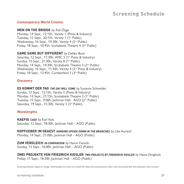### **Screening Schedule**

#### **Contemporary World Cinema**

#### **MEN ON THE BRIDGE** *by* Asli Özge

Monday, 14 Sept., 12:15h, Varsity 1 (Press & Industry) Tuesday, 15 Sept., 20:15h, Varsity 1 (1<sup>st</sup> Public) Wednesday, 16 Sept., 19:30h, Varsity 4 (2<sup>nd</sup> Public) Friday, 18 Sept., 10:45h, Scotiabank Theatre 4 (3rd Public)

#### **SAME SAME BUT DIFFERENT** *by* Detlev Buck

Saturday, 12 Sept., 17:30h, AMC 5 (1<sup>st</sup> Press & Industry) Sunday, 13 Sept.,  $21:30h$ , Varsity 8 (1<sup>st</sup> Public) Monday, 14 Sept., 14:30h, Scotiabank Theatre 3 (2<sup>nd</sup> Public) Wednesday, 16 Sept., 11:30h, Varsity 4 (2<sup>nd</sup> Press & Industry) Friday, 18 Sept., 13:45h, Cumberland 3 (3rd Public)

#### **Discovery**

#### **ES KOMMT DER TAG** *THE DAY WILL COME by* Susanne Schneider

Sunday, 13 Sept., 12:15h, Varsity 5 (Press & Industry) Monday, 14 Sept., 21:15h, Scotiabank Theatre 3 (1<sup>st</sup> Public) Tuesday, 15 Sept., 9:00h, Jackman Hall - AGO (2nd Public) Saturday, 19 Sept., 15:30h, Varsity 3 (3rd Public)

#### **Wavelengths**

**KAEFIG** *CAGE by* Karl Kels Saturday, 12 Sept., 18:30h, Jackman Hall – AGO (Public)

**KOPFUEBER IM GEAEST** *HANGING UPSIDE DOWN IN THE BRANCHES by* Ute Aurand Monday, 14 Sept., 21:00h, Jackman Hall – AGO (Public)

**ZUM VERGLEICH** *IN COMPARISON by* Harun Farocki Sunday, 13 Sept., 16:00h, Jackman Hall – AGO (Public)

**ZWEI PROJEKTE VON FRIEDRICH KIESLER** *TWO PROJECTS BY FREDERICK KIESLER by* Heinz Emigholz Friday, 11 Sept., 18:30h, Jackman Hall – AGO (Public)

Screening Schedule subject to change. Unfortunately we could not include film titles and screening times which were announced after this publication went to press.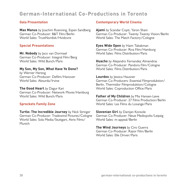### **German-International Co-Productions in Toronto**

#### **Gala Presentation**

**Max Manus** *by* Joachim Roenning, Espen Sandberg German Co-Producer: B&T Film/Berlin World Sales: TrustNordisk/Hvidovre

#### **Special Presentations**

**Mr. Nobody** *by* Jaco van Dormael German Co-Producer: Integral Film/Berg World Sales: Wild Bunch/Paris

#### **My Son, My Son, What Have Ye Done?**

*by* Werner Herzog German Co-Producer: Defilm/Hanover World Sales: Absurda/Irvine

**The Good Heart** *by* Dagur Kari German Co-Producer: Network Movie/Hamburg World Sales: Wild Bunch/Paris

#### **Sprockets Family Zone**

**Turtle: The Incredible Journey** *by* Nick Stringer German Co-Producer: Tradewind Pictures/Cologne World Sales: Sola Media/Stuttgart, Atrix Films/ Munich

#### **Contemporary World Cinema**

**Ajami** *by* Scandar Copti, Yaron Shani German Co-Producer: Twenty Twenty Vision/Berlin World Sales: The Match Factory/Cologne

**Eyes Wide Open** *by* Haim Tabakman German Co-Producer: Riva Film/Hamburg World Sales: Films Distribution/Paris

**Huacho** *by* Alejandro Fernandez Almendras German Co-Producer: Pandora Film/Cologne World Sales: Films Distribution/Paris

**Lourdes** *by* Jessica Hausner German Co-Producers: Essential Filmproduktion/ Berlin, Thermidor Filmproduktion/Cologne World Sales: Coproduction Office/Paris

**Father of My Children** *by* Mia Hansen-Løve German Co-Producer: 27 Films Production/Berlin World Sales: Les Films du Losange/Paris

**Slovenian Girl** *by* Damjan Konsole German Co-Producer: Neue Mediopolis/Leipzig World Sales: m-appeal/Berlin

**The Wind Journeys** *by* Ciro Guerra German Co-Producer: Razor Film/Berlin World Sales: Elle Driver/Paris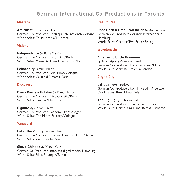### **German-International Co-Productions in Toronto**

#### **Masters**

**Antichrist** *by* Lars von Trier German Co-Producer: Zentropa International/Cologne World Sales: TrustNordisk/Hvidovre

#### **Visions**

**Independence** *by* Raya Martin German Co-Producer: Razor Film/Berlin World Sales: Memento Films International/Paris

**Lebanon** *by* Samuel Maoz German Co-Producer: Ariel Films/Cologne World Sales: Celluloid Dreams/Paris

#### **Discovery**

**Every Day is a Holiday** *by* Dima El-Horr German Co-Producer: Nikovantastic/Berlin World Sales: Umedia/Montreuil

**Gigante** *by* Adrián Biniez German Co-Producer: Pandora Film/Cologne World Sales: The Match Factory/Cologne

#### **Vanguard**

**Enter the Void** *by* Gaspar Noé German Co-Producer: Essential Filmproduktion/Berlin World Sales: Wild Bunch/Paris

**She, a Chinese** *by* Xiaolu Guo German Co-Producer: intervista digital media/Hamburg World Sales: Films Boutique/Berlin

#### **Real to Reel**

#### **Once Upon a Time Proletarian** *by* Xiaolu Guo

German Co-Producer: Corazón International/ **Hamburg** World Sales: Chapter Two Films/Beijing

#### **Wavelengths**

#### **A Letter to Uncle Boonmee**

*by* Apichatpong Weerasethakul German Co-Producer: Haus der Kunst/Munich World Sales: Animate Projects/London

#### **City to City**

**Jaffa** *by* Keren Yedaya German Co-Producer: Rohfilm/Berlin & Leipzig World Sales: Rezo Films/Paris

**The Big Dig** by Ephraim Kishon German Co-Producer: Sender Freies Berlin World Sales: United King Films/Ramat Hasharon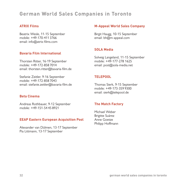### **German World Sales Companies in Toronto**

#### **ATRIX Films**

Beatrix Wesle, 11-15 September mobile: +49-170-411 3766 email: info@atrix-films.com

#### **Bavaria Film International**

Thorsten Ritter, 16-19 September mobile: +49-172-858 7014 email: thorsten.ritter@bavaria-film.de

Stefanie Zeitler, 9-16 September mobile: +49-172-858 7043 email: stefanie.zeitler@bavaria-film.de

#### **Beta Cinema**

Andreas Rothbauer, 9-12 September mobile: +49-151-54 45 8921

#### **EEAP Eastern European Acquisition Pool**

Alexander van Dülmen, 13-17 September Pia Littmann, 13-17 September

#### **M-Appeal World Sales Company**

Birgit Haugg, 10-15 September email: bh@m-appeal.com

#### **SOLA Media**

Solveig Langeland, 11-15 September mobile: +49-177-278 1625 email: post@sola-media.net

#### **TELEPOOL**

Thomas Sierk, 9-15 September mobile: +49-173-359 9300 email: sierk@telepool.de

#### **The Match Factory**

Michael Weber Brigitte Suárez Anne Goetze Philipp Hoffmann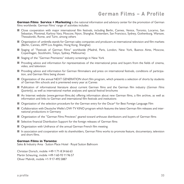### **German Films – A Profile**

**German Films Service + Marketing** is the national information and advisory center for the promotion of German films worldwide. German Films' range of activities includes:

- Close cooperation with major international film festivals, including Berlin, Cannes, Venice, Toronto, Locarno, San Sebastian, Montreal, Karlovy Vary, Moscow, Nyon, Shanghai, Rotterdam, San Francisco, Sydney, Gothenburg, Warsaw, Thessaloniki, Rome, and Turin, among others
- Organization of umbrella stands for German sales companies and producers at international television and film markets (Berlin, Cannes, AFM Los Angeles, Hong Kong, Shanghai)
- Staging of "Festivals of German Films" worldwide (Madrid, Paris, London, New York, Buenos Aires, Moscow, Copenhagen, Stockholm, Tokyo, Sydney, Melbourne)
- Staging of the "German Premieres" industry screenings in New York
- Providing advice and information for representatives of the international press and buyers from the fields of cinema, video, and television
- Providing advice and information for German filmmakers and press on international festivals, conditions of participation, and German films being shown
- Organization of the annual NEXT GENERATION short film program, which presents a selection of shorts by students of German film schools and is premiered every year at Cannes
- Publication of informational literature about current German films and the German film industry (German Films *Quarterly*), as well as international market analyses and special festival brochures
- An Internet website (www.german-films.de) offering information about new German films, a film archive, as well as information and links to German and international film festivals and institutions
- Organization of the selection procedure for the German entry for the Oscar® for Best Foreign Language Film
- Collaboration with Deutsche Welle's DW-TV KINO program which features the latest German film releases and international productions in Germany
- Organization of the "German Films Previews" geared toward arthouse distributors and buyers of German films
- Selective financial Distribution Support for the foreign releases of German films
- Organization with Unifrance of the annual German-French film meeting
- In association and cooperation with its shareholders, German Films works to promote feature, documentary, television and short films.

#### **German Films in Toronto:**

Sales & Industry Area · Sutton Place Hotel · Royal Sutton Ballroom

Christian Dorsch, mobile +49-1 71-8 34 66 63 Martin Scheuring, mobile +49-1 60-93 11 96 57 Oliver Mahrdt, mobile +1-9 17-495 5887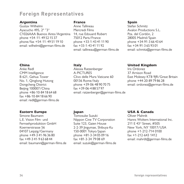### **Foreign Representatives**

#### **Argentina**

Gustav Wilhelmi Ayacucho 495, 2º "3" C1026AAA Buenos Aires/Argentina phone +54-11-49 52 15 37 phone/fax +54-11-49 51 19 10 email: wilhelmi@german-films.de

#### **France**

Anne Tallineau Mercredi Films 14, rue Edouard Robert 75012 Paris/France phone +33-1-43 41 11 90 fax +33-1-43 41 11 92 email: tallineau@german-films.de

#### **China**

Anke Redl CMM Intelligence B 621, Gehua Tower No. 1, Qinglong Hutong Dongcheng District Beijing 100007/China phone +86-10-84 18 64 68 fax +86-10-84 18 66 90 email: redl@german-films.de

#### **Eastern Europe**

Simone Baumann L.E. Vision Film- und Fernsehproduktion GmbH Koernerstrasse 56 04107 Leipzig/Germany phone +49-3 41-96 36 80 fax +49-3 41-9 63 68 44 email: baumann@german-films.de

#### **Italy**

Alessia Ratzenberger A-PICTURES Clivo delle Mura Vaticane 60 00136 Rome/Italy phone +39-06-48 90 70 75 fax +39-06-4 88 57 97 email: ratzenberger@german-films.de

#### **Spain**

Stefan Schmitz Avalon Productions S.L. Pza. del Cordón, 2 28005 Madrid/Spain phone +34-91-3 66 43 64 fax +34-91-3 65 93 01 email: schmitz@german-films.de

#### **United Kingdom**

Iris Ordonez 37 Arnison Road East Molesey KT8 9JR/Great Britain phone +44-20-89 79 86 28 email: ordonez@german-films.de

#### **Japan**

Tomosuke Suzuki Nippon Cine TV Corporation Suite 123, Gaien House 2-2-39 Jingumae, Shibuya-Ku 150-0001 Tokyo/Japan phone +81-3-34 05 09 16 fax +81-3-34 79 08 69 email: suzuki@german-films.de

#### **USA & Canada**

Oliver Mahrdt Hanns Wolters International Inc. 211 E 43rd Street, #505 New York, NY 10017/USA phone +1-212-714 0100 fax +1-212-643 1412 email: mahrdt@german-films.de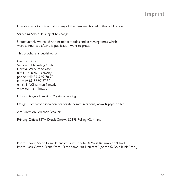### **Imprint**

Credits are not contractual for any of the films mentioned in this publication.

Screening Schedule subject to change.

Unfortunately we could not include film titles and screening times which were announced after this publication went to press.

This brochure is published by:

German Films Service + Marketing GmbH Herzog-Wilhelm-Strasse 16 80331 Munich/Germany phone +49-89-5 99 78 70 fax +49-89-59 97 87 30 email: info@german-films.de www.german-films.de

Editors: Angela Hawkins, Martin Scheuring

Design Company: triptychon corporate communications, www.triptychon.biz

Art Direction: Werner Schauer

Printing Office: ESTA Druck GmbH, 82398 Polling/Germany

Photo Cover: Scene from "Phantom Pain" (photo © Maria Krumwiede/Film 1) Photo Back Cover: Scene from "Same Same But Different" (photo © Boje Buck Prod.)